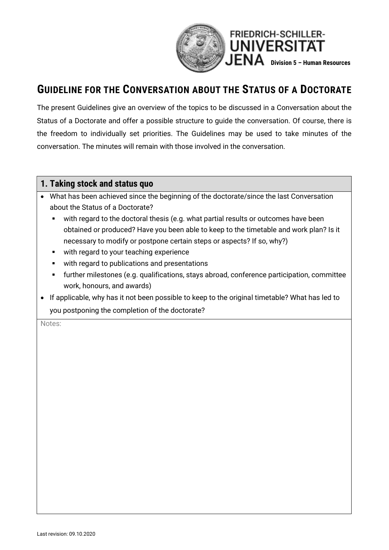

## **GUIDELINE FOR THE CONVERSATION ABOUT THE STATUS OF A DOCTORATE**

The present Guidelines give an overview of the topics to be discussed in a Conversation about the Status of a Doctorate and offer a possible structure to guide the conversation. Of course, there is the freedom to individually set priorities. The Guidelines may be used to take minutes of the conversation. The minutes will remain with those involved in the conversation.

#### **1. Taking stock and status quo**

- What has been achieved since the beginning of the doctorate/since the last Conversation about the Status of a Doctorate?
	- with regard to the doctoral thesis (e.g. what partial results or outcomes have been obtained or produced? Have you been able to keep to the timetable and work plan? Is it necessary to modify or postpone certain steps or aspects? If so, why?)
	- with regard to your teaching experience
	- with regard to publications and presentations
	- further milestones (e.g. qualifications, stays abroad, conference participation, committee work, honours, and awards)
- If applicable, why has it not been possible to keep to the original timetable? What has led to you postponing the completion of the doctorate?

Notes: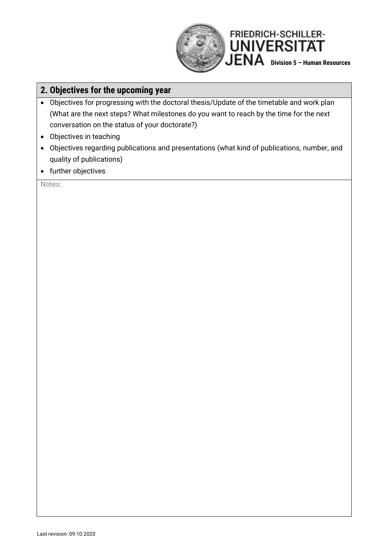

## **2. Objectives for the upcoming year**

- Objectives for progressing with the doctoral thesis/Update of the timetable and work plan (What are the next steps? What milestones do you want to reach by the time for the next conversation on the status of your doctorate?)
- Objectives in teaching
- Objectives regarding publications and presentations (what kind of publications, number, and quality of publications)
- further objectives

Notes: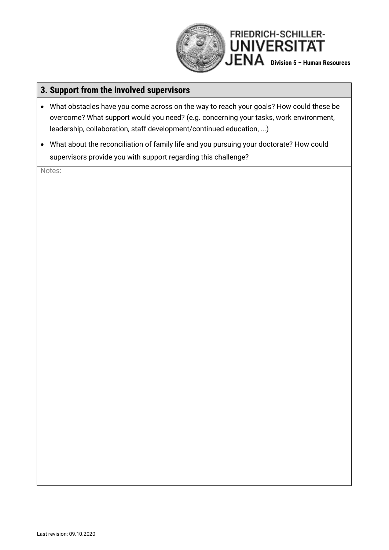

### **3. Support from the involved supervisors**

- What obstacles have you come across on the way to reach your goals? How could these be overcome? What support would you need? (e.g. concerning your tasks, work environment, leadership, collaboration, staff development/continued education, ...)
- What about the reconciliation of family life and you pursuing your doctorate? How could supervisors provide you with support regarding this challenge?

Notes: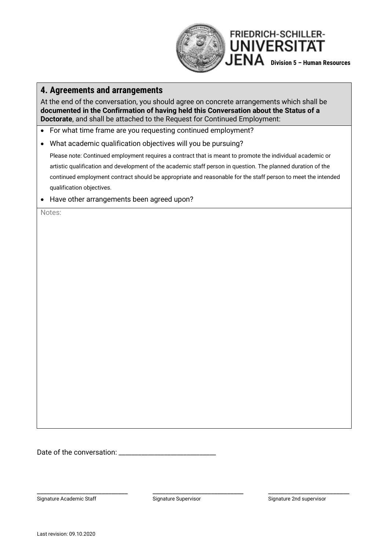

#### **4. Agreements and arrangements**

At the end of the conversation, you should agree on concrete arrangements which shall be **documented in the Confirmation of having held this Conversation about the Status of a Doctorate**, and shall be attached to the Request for Continued Employment:

- For what time frame are you requesting continued employment?
- What academic qualification objectives will you be pursuing?

Please note: Continued employment requires a contract that is meant to promote the individual academic or artistic qualification and development of the academic staff person in question. The planned duration of the continued employment contract should be appropriate and reasonable for the staff person to meet the intended qualification objectives.

• Have other arrangements been agreed upon?

Notes:

Date of the conversation: \_\_\_\_\_\_\_\_\_\_\_\_\_\_\_\_\_\_\_\_\_\_\_\_\_\_\_\_\_\_

Signature Academic Staff Signature Supervisor Signature Supervisor Signature 2nd supervisor

\_\_\_\_\_\_\_\_\_\_\_\_\_\_\_\_\_\_\_\_\_\_\_\_\_\_\_\_ \_\_\_\_\_\_\_\_\_\_\_\_\_\_\_\_\_\_\_\_\_\_\_\_\_\_\_\_ \_\_\_\_\_\_\_\_\_\_\_\_\_\_\_\_\_\_\_\_\_\_\_\_\_